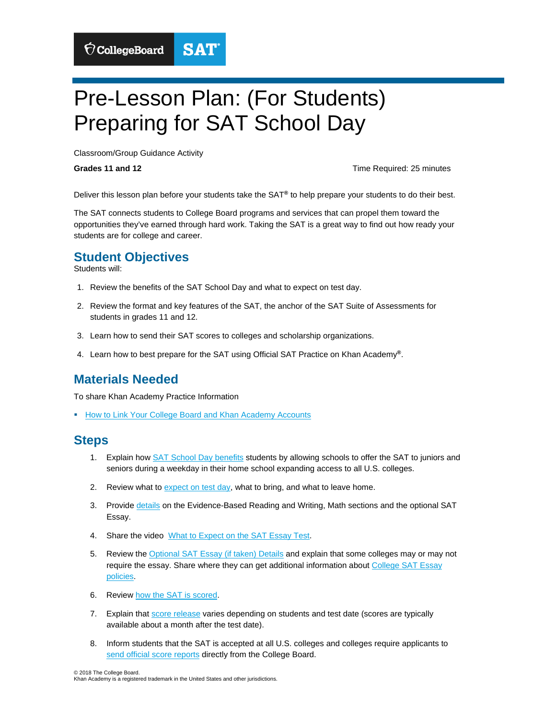# Pre-Lesson Plan: (For Students) Preparing for SAT School Day

**SAT** 

Classroom/Group Guidance Activity

 $\bigcirc$  CollegeBoard

**Grades 11 and 12 Grades 11 and 12 Construction Time Required: 25 minutes** 

Deliver this lesson plan before your students take the SAT**®** to help prepare your students to do their best.

 opportunities they've earned through hard work. Taking the SAT is a great way to find out how ready your The SAT connects students to College Board programs and services that can propel them toward the students are for college and career.

#### **Student Objectives**

Students will:

- 1. Review the benefits of the SAT School Day and what to expect on test day.
- 2. Review the format and key features of the SAT, the anchor of the SAT Suite of Assessments for students in grades 11 and 12.
- 3. Learn how to send their SAT scores to colleges and scholarship organizations.
- 4. Learn how to best prepare for the SAT using Official SAT Practice on Khan Academy**®**.

## **Materials Needed**

To share Khan Academy Practice Information

**How to Link Your College Board and Khan Academy Accounts** 

#### **Steps**

- 1. Explain how [SAT School Day benefits](https://secure-media.collegeboard.org/sat/pdf/sat-sd-what-to-expect-students-flyer.pdf) students by allowing schools to offer the SAT to juniors and seniors during a weekday in their home school expanding access to all U.S. colleges.
- 2. Review what to [expect on test day,](https://collegereadiness.collegeboard.org/pdf/sat-school-day-student-guide.pdf) what to bring, and what to leave home.
- 3. Provide [details](https://collegereadiness.collegeboard.org/pdf/sat-school-day-student-guide.pdf) on the Evidence-Based Reading and Writing, Math sections and the optional SAT Essay.
- 4. Share the video [What to Expect on the SAT Essay Test.](https://www.youtube.com/watch?v=325se1HrFp8)
- 5. Review the **Optional SAT Essay (if taken) Details** and explain that some colleges may or may not require the essay. Share where they can get additional information about [College SAT Essay](https://collegereadiness.collegeboard.org/sat/register/college-essay-policies) [policies](https://collegereadiness.collegeboard.org/sat/register/college-essay-policies).
- 6. Review [how the SAT is scored](https://collegereadiness.collegeboard.org/pdf/understanding-sat-scores.pdf).
- 7. Explain that [score release](https://collegereadiness.collegeboard.org/sat/scores/getting-scores) varies depending on students and test date (scores are typically available about a month after the test date).
- 8. Inform students that the SAT is accepted at all U.S. colleges and colleges require applicants to [send official score reports](https://collegereadiness.collegeboard.org/sat/scores/sending-scores/how-to-send) directly from the College Board.